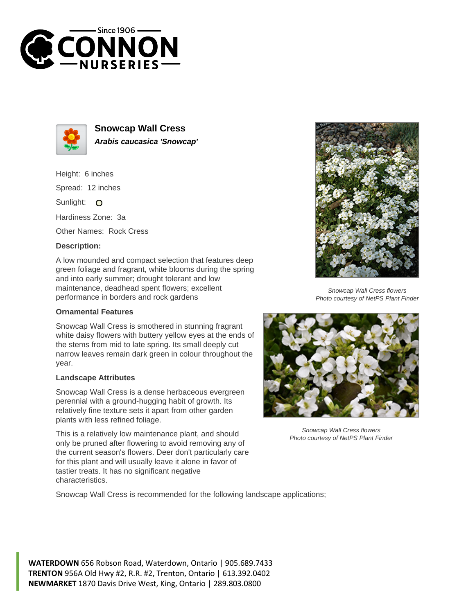



**Snowcap Wall Cress Arabis caucasica 'Snowcap'**

Height: 6 inches Spread: 12 inches

Sunlight: O

Hardiness Zone: 3a

Other Names: Rock Cress

## **Description:**

A low mounded and compact selection that features deep green foliage and fragrant, white blooms during the spring and into early summer; drought tolerant and low maintenance, deadhead spent flowers; excellent performance in borders and rock gardens

## **Ornamental Features**

Snowcap Wall Cress is smothered in stunning fragrant white daisy flowers with buttery yellow eyes at the ends of the stems from mid to late spring. Its small deeply cut narrow leaves remain dark green in colour throughout the year.

## **Landscape Attributes**

Snowcap Wall Cress is a dense herbaceous evergreen perennial with a ground-hugging habit of growth. Its relatively fine texture sets it apart from other garden plants with less refined foliage.

This is a relatively low maintenance plant, and should only be pruned after flowering to avoid removing any of the current season's flowers. Deer don't particularly care for this plant and will usually leave it alone in favor of tastier treats. It has no significant negative characteristics.



Snowcap Wall Cress flowers Photo courtesy of NetPS Plant Finder



Snowcap Wall Cress flowers Photo courtesy of NetPS Plant Finder

Snowcap Wall Cress is recommended for the following landscape applications;

**WATERDOWN** 656 Robson Road, Waterdown, Ontario | 905.689.7433 **TRENTON** 956A Old Hwy #2, R.R. #2, Trenton, Ontario | 613.392.0402 **NEWMARKET** 1870 Davis Drive West, King, Ontario | 289.803.0800